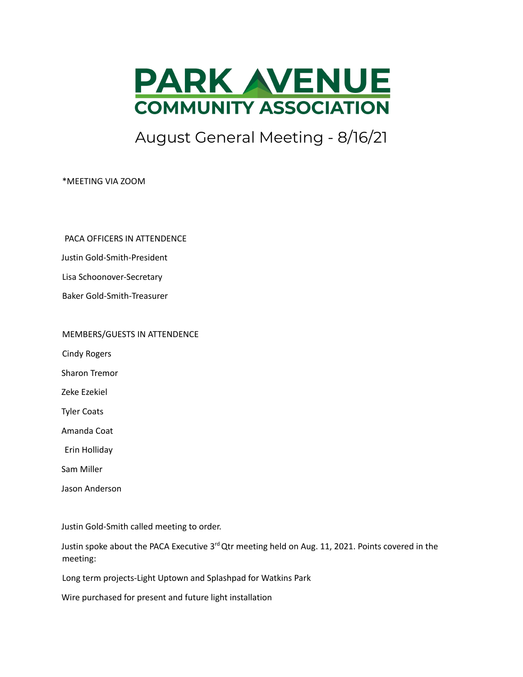

## August General Meeting - 8/16/21

\*MEETING VIA ZOOM

PACA OFFICERS IN ATTENDENCE

Justin Gold-Smith-President

Lisa Schoonover-Secretary

Baker Gold-Smith-Treasurer

MEMBERS/GUESTS IN ATTENDENCE

Cindy Rogers

Sharon Tremor

Zeke Ezekiel

Tyler Coats

Amanda Coat

Erin Holliday

Sam Miller

Jason Anderson

Justin Gold-Smith called meeting to order.

Justin spoke about the PACA Executive 3<sup>rd</sup> Qtr meeting held on Aug. 11, 2021. Points covered in the meeting:

Long term projects-Light Uptown and Splashpad for Watkins Park

Wire purchased for present and future light installation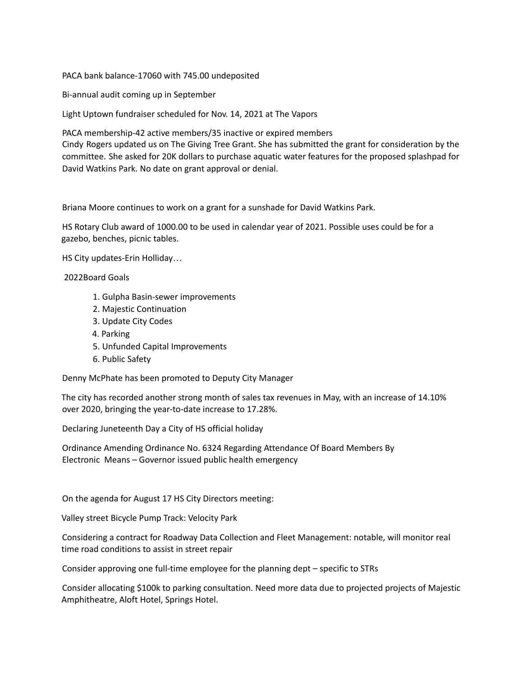PACA bank balance-17060 with 745.00 undeposited

Bi-annual audit coming up in September

Light Uptown fundraiser scheduled for Nov. 14, 2021 at The Vapors

PACA membership-42 active members/35 inactive or expired members Cindy Rogers updated us on The Giving Tree Grant. She has submitted the grant for consideration by the committee. She asked for 20K dollars to purchase aquatic water features for the proposed splashpad for David Watkins Park. No date on grant approval or denial.

Briana Moore continues to work on a grant for a sunshade for David Watkins Park.

HS Rotary Club award of 1000.00 to be used in calendar year of 2021. Possible uses could be for a gazebo, benches, picnic tables.

HS City updates-Erin Holliday…

2022Board Goals

- 1. Gulpha Basin-sewer improvements
- 2. Majestic Continuation
- 3. Update City Codes
- 4. Parking
- 5. Unfunded Capital Improvements
- 6. Public Safety

Denny McPhate has been promoted to Deputy City Manager

The city has recorded another strong month of sales tax revenues in May, with an increase of 14.10% over 2020, bringing the year-to-date increase to 17.28%.

Declaring Juneteenth Day a City of HS official holiday

Ordinance Amending Ordinance No. 6324 Regarding Attendance Of Board Members By Electronic Means – Governor issued public health emergency

On the agenda for August 17 HS City Directors meeting:

Valley street Bicycle Pump Track: Velocity Park

Considering a contract for Roadway Data Collection and Fleet Management: notable, will monitor real time road conditions to assist in street repair

Consider approving one full-time employee for the planning dept – specific to STRs

Consider allocating \$100k to parking consultation. Need more data due to projected projects of Majestic Amphitheatre, Aloft Hotel, Springs Hotel.